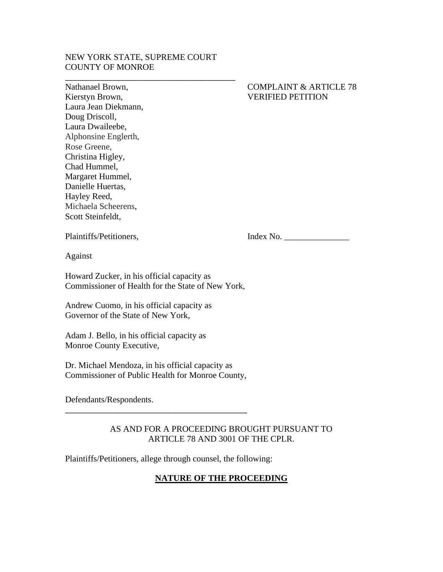### NEW YORK STATE, SUPREME COURT COUNTY OF MONROE

\_\_\_\_\_\_\_\_\_\_\_\_\_\_\_\_\_\_\_\_\_\_\_\_\_\_\_\_\_\_\_\_\_\_\_\_\_\_\_\_\_\_\_

Laura Jean Diekmann, Doug Driscoll, Laura Dwaileebe, Alphonsine Englerth, Rose Greene, Christina Higley, Chad Hummel, Margaret Hummel, Danielle Huertas, Hayley Reed, Michaela Scheerens, Scott Steinfeldt,

## Nathanael Brown, COMPLAINT & ARTICLE 78 Kierstyn Brown, VERIFIED PETITION

Plaintiffs/Petitioners, Index No. \_\_\_\_\_\_\_\_\_\_\_\_\_\_\_

Against

Howard Zucker, in his official capacity as Commissioner of Health for the State of New York,

Andrew Cuomo, in his official capacity as Governor of the State of New York,

Adam J. Bello, in his official capacity as Monroe County Executive,

Dr. Michael Mendoza, in his official capacity as Commissioner of Public Health for Monroe County,

\_\_\_\_\_\_\_\_\_\_\_\_\_\_\_\_\_\_\_\_\_\_\_\_\_\_\_\_\_\_\_\_\_\_\_\_\_\_\_\_\_\_\_\_\_\_

Defendants/Respondents.

## AS AND FOR A PROCEEDING BROUGHT PURSUANT TO ARTICLE 78 AND 3001 OF THE CPLR.

Plaintiffs/Petitioners, allege through counsel, the following:

# **NATURE OF THE PROCEEDING**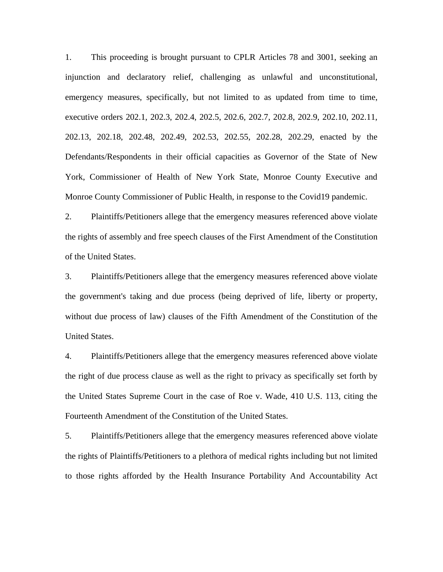1. This proceeding is brought pursuant to CPLR Articles 78 and 3001, seeking an injunction and declaratory relief, challenging as unlawful and unconstitutional, emergency measures, specifically, but not limited to as updated from time to time, executive orders 202.1, 202.3, 202.4, 202.5, 202.6, 202.7, 202.8, 202.9, 202.10, 202.11, 202.13, 202.18, 202.48, 202.49, 202.53, 202.55, 202.28, 202.29, enacted by the Defendants/Respondents in their official capacities as Governor of the State of New York, Commissioner of Health of New York State, Monroe County Executive and Monroe County Commissioner of Public Health, in response to the Covid19 pandemic.

2. Plaintiffs/Petitioners allege that the emergency measures referenced above violate the rights of assembly and free speech clauses of the First Amendment of the Constitution of the United States.

3. Plaintiffs/Petitioners allege that the emergency measures referenced above violate the government's taking and due process (being deprived of life, liberty or property, without due process of law) clauses of the Fifth Amendment of the Constitution of the United States.

4. Plaintiffs/Petitioners allege that the emergency measures referenced above violate the right of due process clause as well as the right to privacy as specifically set forth by the United States Supreme Court in the case of Roe v. Wade, 410 U.S. 113, citing the Fourteenth Amendment of the Constitution of the United States.

5. Plaintiffs/Petitioners allege that the emergency measures referenced above violate the rights of Plaintiffs/Petitioners to a plethora of medical rights including but not limited to those rights afforded by the Health Insurance Portability And Accountability Act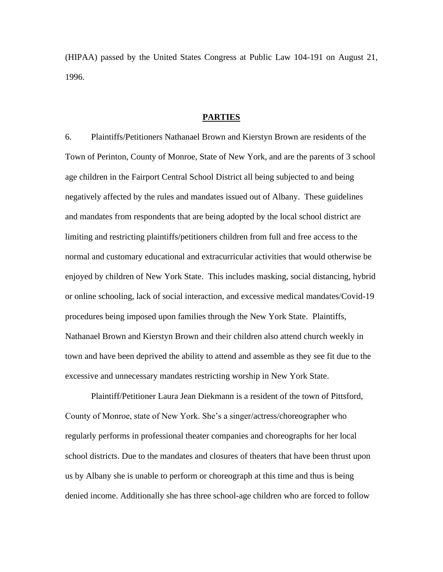(HIPAA) passed by the United States Congress at Public Law 104-191 on August 21, 1996.

#### **PARTIES**

6. Plaintiffs/Petitioners Nathanael Brown and Kierstyn Brown are residents of the Town of Perinton, County of Monroe, State of New York, and are the parents of 3 school age children in the Fairport Central School District all being subjected to and being negatively affected by the rules and mandates issued out of Albany. These guidelines and mandates from respondents that are being adopted by the local school district are limiting and restricting plaintiffs/petitioners children from full and free access to the normal and customary educational and extracurricular activities that would otherwise be enjoyed by children of New York State. This includes masking, social distancing, hybrid or online schooling, lack of social interaction, and excessive medical mandates/Covid-19 procedures being imposed upon families through the New York State. Plaintiffs, Nathanael Brown and Kierstyn Brown and their children also attend church weekly in town and have been deprived the ability to attend and assemble as they see fit due to the excessive and unnecessary mandates restricting worship in New York State.

Plaintiff/Petitioner Laura Jean Diekmann is a resident of the town of Pittsford, County of Monroe, state of New York. She's a singer/actress/choreographer who regularly performs in professional theater companies and choreographs for her local school districts. Due to the mandates and closures of theaters that have been thrust upon us by Albany she is unable to perform or choreograph at this time and thus is being denied income. Additionally she has three school-age children who are forced to follow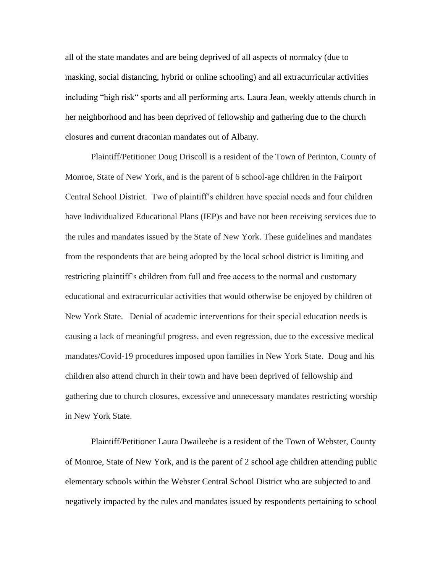all of the state mandates and are being deprived of all aspects of normalcy (due to masking, social distancing, hybrid or online schooling) and all extracurricular activities including "high risk" sports and all performing arts. Laura Jean, weekly attends church in her neighborhood and has been deprived of fellowship and gathering due to the church closures and current draconian mandates out of Albany.

Plaintiff/Petitioner Doug Driscoll is a resident of the Town of Perinton, County of Monroe, State of New York, and is the parent of 6 school-age children in the Fairport Central School District. Two of plaintiff's children have special needs and four children have Individualized Educational Plans (IEP)s and have not been receiving services due to the rules and mandates issued by the State of New York. These guidelines and mandates from the respondents that are being adopted by the local school district is limiting and restricting plaintiff's children from full and free access to the normal and customary educational and extracurricular activities that would otherwise be enjoyed by children of New York State. Denial of academic interventions for their special education needs is causing a lack of meaningful progress, and even regression, due to the excessive medical mandates/Covid-19 procedures imposed upon families in New York State. Doug and his children also attend church in their town and have been deprived of fellowship and gathering due to church closures, excessive and unnecessary mandates restricting worship in New York State.

Plaintiff/Petitioner Laura Dwaileebe is a resident of the Town of Webster, County of Monroe, State of New York, and is the parent of 2 school age children attending public elementary schools within the Webster Central School District who are subjected to and negatively impacted by the rules and mandates issued by respondents pertaining to school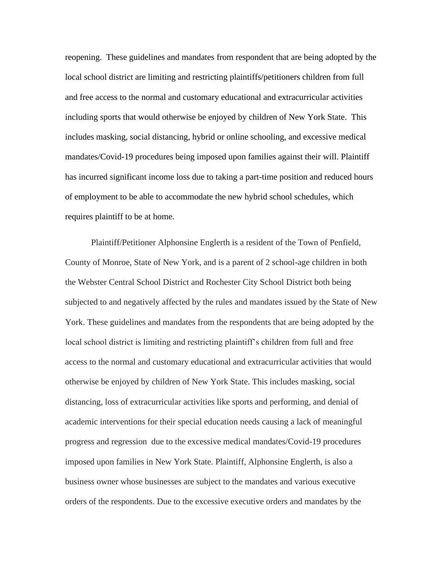reopening. These guidelines and mandates from respondent that are being adopted by the local school district are limiting and restricting plaintiffs/petitioners children from full and free access to the normal and customary educational and extracurricular activities including sports that would otherwise be enjoyed by children of New York State. This includes masking, social distancing, hybrid or online schooling, and excessive medical mandates/Covid-19 procedures being imposed upon families against their will. Plaintiff has incurred significant income loss due to taking a part-time position and reduced hours of employment to be able to accommodate the new hybrid school schedules, which requires plaintiff to be at home.

Plaintiff/Petitioner Alphonsine Englerth is a resident of the Town of Penfield, County of Monroe, State of New York, and is a parent of 2 school-age children in both the Webster Central School District and Rochester City School District both being subjected to and negatively affected by the rules and mandates issued by the State of New York. These guidelines and mandates from the respondents that are being adopted by the local school district is limiting and restricting plaintiff's children from full and free access to the normal and customary educational and extracurricular activities that would otherwise be enjoyed by children of New York State. This includes masking, social distancing, loss of extracurricular activities like sports and performing, and denial of academic interventions for their special education needs causing a lack of meaningful progress and regression due to the excessive medical mandates/Covid-19 procedures imposed upon families in New York State. Plaintiff, Alphonsine Englerth, is also a business owner whose businesses are subject to the mandates and various executive orders of the respondents. Due to the excessive executive orders and mandates by the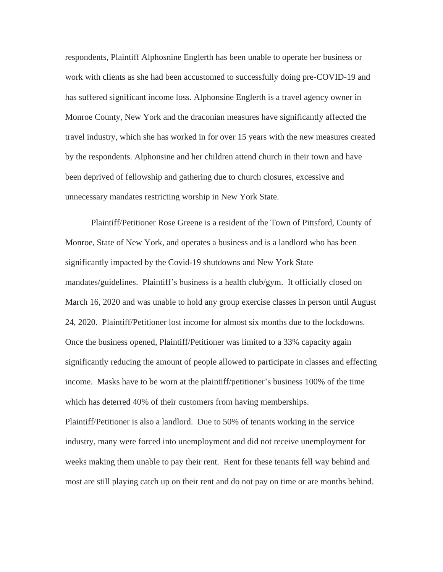respondents, Plaintiff Alphosnine Englerth has been unable to operate her business or work with clients as she had been accustomed to successfully doing pre-COVID-19 and has suffered significant income loss. Alphonsine Englerth is a travel agency owner in Monroe County, New York and the draconian measures have significantly affected the travel industry, which she has worked in for over 15 years with the new measures created by the respondents. Alphonsine and her children attend church in their town and have been deprived of fellowship and gathering due to church closures, excessive and unnecessary mandates restricting worship in New York State.

Plaintiff/Petitioner Rose Greene is a resident of the Town of Pittsford, County of Monroe, State of New York, and operates a business and is a landlord who has been significantly impacted by the Covid-19 shutdowns and New York State mandates/guidelines. Plaintiff's business is a health club/gym. It officially closed on March 16, 2020 and was unable to hold any group exercise classes in person until August 24, 2020. Plaintiff/Petitioner lost income for almost six months due to the lockdowns. Once the business opened, Plaintiff/Petitioner was limited to a 33% capacity again significantly reducing the amount of people allowed to participate in classes and effecting income. Masks have to be worn at the plaintiff/petitioner's business 100% of the time which has deterred 40% of their customers from having memberships.

Plaintiff/Petitioner is also a landlord. Due to 50% of tenants working in the service industry, many were forced into unemployment and did not receive unemployment for weeks making them unable to pay their rent. Rent for these tenants fell way behind and most are still playing catch up on their rent and do not pay on time or are months behind.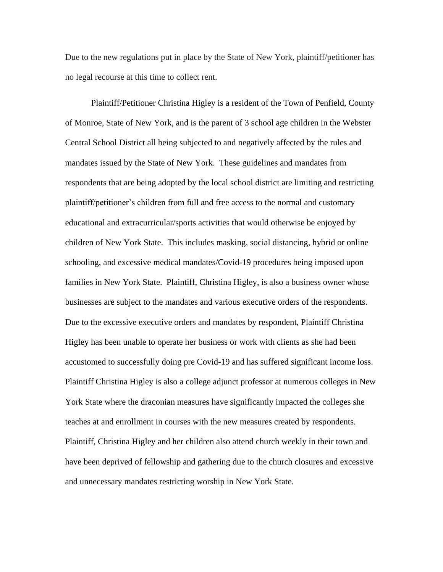Due to the new regulations put in place by the State of New York, plaintiff/petitioner has no legal recourse at this time to collect rent.

Plaintiff/Petitioner Christina Higley is a resident of the Town of Penfield, County of Monroe, State of New York, and is the parent of 3 school age children in the Webster Central School District all being subjected to and negatively affected by the rules and mandates issued by the State of New York. These guidelines and mandates from respondents that are being adopted by the local school district are limiting and restricting plaintiff/petitioner's children from full and free access to the normal and customary educational and extracurricular/sports activities that would otherwise be enjoyed by children of New York State. This includes masking, social distancing, hybrid or online schooling, and excessive medical mandates/Covid-19 procedures being imposed upon families in New York State. Plaintiff, Christina Higley, is also a business owner whose businesses are subject to the mandates and various executive orders of the respondents. Due to the excessive executive orders and mandates by respondent, Plaintiff Christina Higley has been unable to operate her business or work with clients as she had been accustomed to successfully doing pre Covid-19 and has suffered significant income loss. Plaintiff Christina Higley is also a college adjunct professor at numerous colleges in New York State where the draconian measures have significantly impacted the colleges she teaches at and enrollment in courses with the new measures created by respondents. Plaintiff, Christina Higley and her children also attend church weekly in their town and have been deprived of fellowship and gathering due to the church closures and excessive and unnecessary mandates restricting worship in New York State.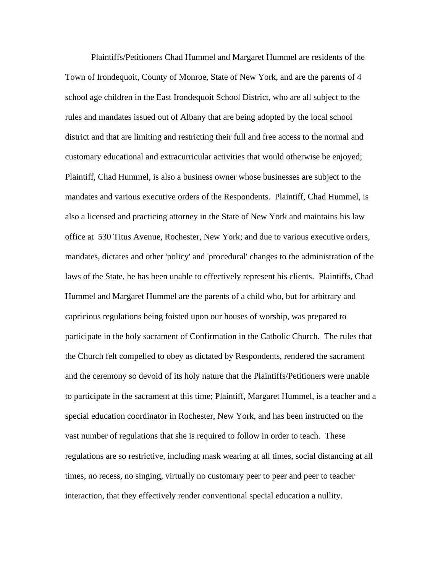Plaintiffs/Petitioners Chad Hummel and Margaret Hummel are residents of the Town of Irondequoit, County of Monroe, State of New York, and are the parents of 4 school age children in the East Irondequoit School District, who are all subject to the rules and mandates issued out of Albany that are being adopted by the local school district and that are limiting and restricting their full and free access to the normal and customary educational and extracurricular activities that would otherwise be enjoyed; Plaintiff, Chad Hummel, is also a business owner whose businesses are subject to the mandates and various executive orders of the Respondents. Plaintiff, Chad Hummel, is also a licensed and practicing attorney in the State of New York and maintains his law office at 530 Titus Avenue, Rochester, New York; and due to various executive orders, mandates, dictates and other 'policy' and 'procedural' changes to the administration of the laws of the State, he has been unable to effectively represent his clients. Plaintiffs, Chad Hummel and Margaret Hummel are the parents of a child who, but for arbitrary and capricious regulations being foisted upon our houses of worship, was prepared to participate in the holy sacrament of Confirmation in the Catholic Church. The rules that the Church felt compelled to obey as dictated by Respondents, rendered the sacrament and the ceremony so devoid of its holy nature that the Plaintiffs/Petitioners were unable to participate in the sacrament at this time; Plaintiff, Margaret Hummel, is a teacher and a special education coordinator in Rochester, New York, and has been instructed on the vast number of regulations that she is required to follow in order to teach. These regulations are so restrictive, including mask wearing at all times, social distancing at all times, no recess, no singing, virtually no customary peer to peer and peer to teacher interaction, that they effectively render conventional special education a nullity.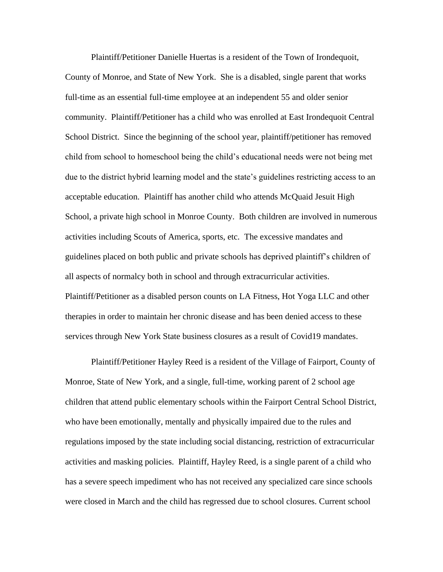Plaintiff/Petitioner Danielle Huertas is a resident of the Town of Irondequoit, County of Monroe, and State of New York. She is a disabled, single parent that works full-time as an essential full-time employee at an independent 55 and older senior community. Plaintiff/Petitioner has a child who was enrolled at East Irondequoit Central School District. Since the beginning of the school year, plaintiff/petitioner has removed child from school to homeschool being the child's educational needs were not being met due to the district hybrid learning model and the state's guidelines restricting access to an acceptable education. Plaintiff has another child who attends McQuaid Jesuit High School, a private high school in Monroe County. Both children are involved in numerous activities including Scouts of America, sports, etc. The excessive mandates and guidelines placed on both public and private schools has deprived plaintiff's children of all aspects of normalcy both in school and through extracurricular activities. Plaintiff/Petitioner as a disabled person counts on LA Fitness, Hot Yoga LLC and other therapies in order to maintain her chronic disease and has been denied access to these services through New York State business closures as a result of Covid19 mandates.

Plaintiff/Petitioner Hayley Reed is a resident of the Village of Fairport, County of Monroe, State of New York, and a single, full-time, working parent of 2 school age children that attend public elementary schools within the Fairport Central School District, who have been emotionally, mentally and physically impaired due to the rules and regulations imposed by the state including social distancing, restriction of extracurricular activities and masking policies. Plaintiff, Hayley Reed, is a single parent of a child who has a severe speech impediment who has not received any specialized care since schools were closed in March and the child has regressed due to school closures. Current school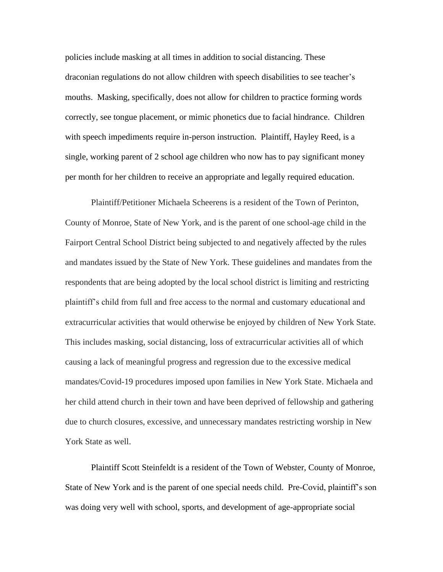policies include masking at all times in addition to social distancing. These draconian regulations do not allow children with speech disabilities to see teacher's mouths. Masking, specifically, does not allow for children to practice forming words correctly, see tongue placement, or mimic phonetics due to facial hindrance. Children with speech impediments require in-person instruction. Plaintiff, Hayley Reed, is a single, working parent of 2 school age children who now has to pay significant money per month for her children to receive an appropriate and legally required education.

Plaintiff/Petitioner Michaela Scheerens is a resident of the Town of Perinton, County of Monroe, State of New York, and is the parent of one school-age child in the Fairport Central School District being subjected to and negatively affected by the rules and mandates issued by the State of New York. These guidelines and mandates from the respondents that are being adopted by the local school district is limiting and restricting plaintiff's child from full and free access to the normal and customary educational and extracurricular activities that would otherwise be enjoyed by children of New York State. This includes masking, social distancing, loss of extracurricular activities all of which causing a lack of meaningful progress and regression due to the excessive medical mandates/Covid-19 procedures imposed upon families in New York State. Michaela and her child attend church in their town and have been deprived of fellowship and gathering due to church closures, excessive, and unnecessary mandates restricting worship in New York State as well.

Plaintiff Scott Steinfeldt is a resident of the Town of Webster, County of Monroe, State of New York and is the parent of one special needs child. Pre-Covid, plaintiff's son was doing very well with school, sports, and development of age-appropriate social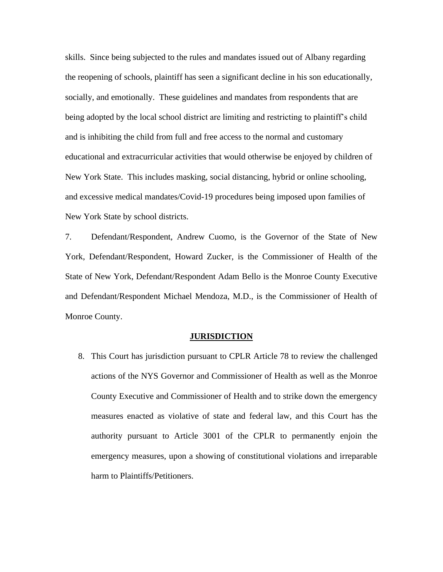skills. Since being subjected to the rules and mandates issued out of Albany regarding the reopening of schools, plaintiff has seen a significant decline in his son educationally, socially, and emotionally. These guidelines and mandates from respondents that are being adopted by the local school district are limiting and restricting to plaintiff's child and is inhibiting the child from full and free access to the normal and customary educational and extracurricular activities that would otherwise be enjoyed by children of New York State. This includes masking, social distancing, hybrid or online schooling, and excessive medical mandates/Covid-19 procedures being imposed upon families of New York State by school districts.

7. Defendant/Respondent, Andrew Cuomo, is the Governor of the State of New York, Defendant/Respondent, Howard Zucker, is the Commissioner of Health of the State of New York, Defendant/Respondent Adam Bello is the Monroe County Executive and Defendant/Respondent Michael Mendoza, M.D., is the Commissioner of Health of Monroe County.

#### **JURISDICTION**

8. This Court has jurisdiction pursuant to CPLR Article 78 to review the challenged actions of the NYS Governor and Commissioner of Health as well as the Monroe County Executive and Commissioner of Health and to strike down the emergency measures enacted as violative of state and federal law, and this Court has the authority pursuant to Article 3001 of the CPLR to permanently enjoin the emergency measures, upon a showing of constitutional violations and irreparable harm to Plaintiffs/Petitioners.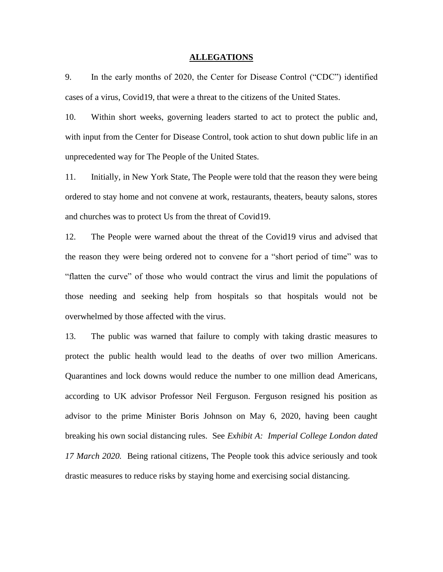#### **ALLEGATIONS**

9. In the early months of 2020, the Center for Disease Control ("CDC") identified cases of a virus, Covid19, that were a threat to the citizens of the United States.

10. Within short weeks, governing leaders started to act to protect the public and, with input from the Center for Disease Control, took action to shut down public life in an unprecedented way for The People of the United States.

11. Initially, in New York State, The People were told that the reason they were being ordered to stay home and not convene at work, restaurants, theaters, beauty salons, stores and churches was to protect Us from the threat of Covid19.

12. The People were warned about the threat of the Covid19 virus and advised that the reason they were being ordered not to convene for a "short period of time" was to "flatten the curve" of those who would contract the virus and limit the populations of those needing and seeking help from hospitals so that hospitals would not be overwhelmed by those affected with the virus.

13. The public was warned that failure to comply with taking drastic measures to protect the public health would lead to the deaths of over two million Americans. Quarantines and lock downs would reduce the number to one million dead Americans, according to UK advisor Professor Neil Ferguson. Ferguson resigned his position as advisor to the prime Minister Boris Johnson on May 6, 2020, having been caught breaking his own social distancing rules. See *Exhibit A: Imperial College London dated 17 March 2020.* Being rational citizens, The People took this advice seriously and took drastic measures to reduce risks by staying home and exercising social distancing.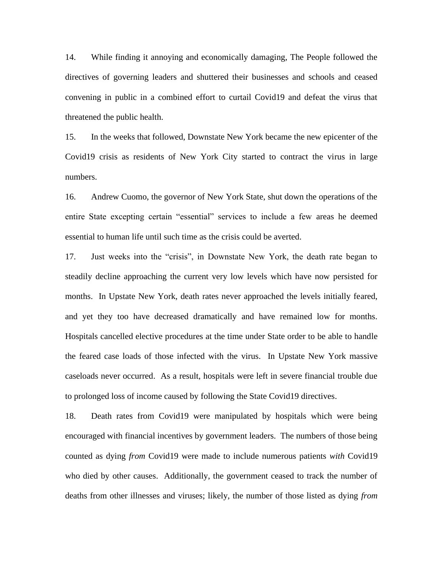14. While finding it annoying and economically damaging, The People followed the directives of governing leaders and shuttered their businesses and schools and ceased convening in public in a combined effort to curtail Covid19 and defeat the virus that threatened the public health.

15. In the weeks that followed, Downstate New York became the new epicenter of the Covid19 crisis as residents of New York City started to contract the virus in large numbers.

16. Andrew Cuomo, the governor of New York State, shut down the operations of the entire State excepting certain "essential" services to include a few areas he deemed essential to human life until such time as the crisis could be averted.

17. Just weeks into the "crisis", in Downstate New York, the death rate began to steadily decline approaching the current very low levels which have now persisted for months. In Upstate New York, death rates never approached the levels initially feared, and yet they too have decreased dramatically and have remained low for months. Hospitals cancelled elective procedures at the time under State order to be able to handle the feared case loads of those infected with the virus. In Upstate New York massive caseloads never occurred. As a result, hospitals were left in severe financial trouble due to prolonged loss of income caused by following the State Covid19 directives.

18. Death rates from Covid19 were manipulated by hospitals which were being encouraged with financial incentives by government leaders. The numbers of those being counted as dying *from* Covid19 were made to include numerous patients *with* Covid19 who died by other causes. Additionally, the government ceased to track the number of deaths from other illnesses and viruses; likely, the number of those listed as dying *from*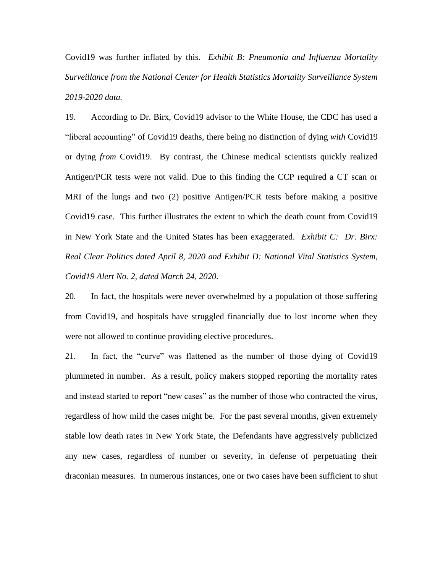Covid19 was further inflated by this. *Exhibit B: Pneumonia and Influenza Mortality Surveillance from the National Center for Health Statistics Mortality Surveillance System 2019-2020 data.*

19. According to Dr. Birx, Covid19 advisor to the White House, the CDC has used a "liberal accounting" of Covid19 deaths, there being no distinction of dying *with* Covid19 or dying *from* Covid19. By contrast, the Chinese medical scientists quickly realized Antigen/PCR tests were not valid. Due to this finding the CCP required a CT scan or MRI of the lungs and two (2) positive Antigen/PCR tests before making a positive Covid19 case.This further illustrates the extent to which the death count from Covid19 in New York State and the United States has been exaggerated. *Exhibit C: Dr. Birx: Real Clear Politics dated April 8, 2020 and Exhibit D: National Vital Statistics System, Covid19 Alert No. 2, dated March 24, 2020.*

20. In fact, the hospitals were never overwhelmed by a population of those suffering from Covid19, and hospitals have struggled financially due to lost income when they were not allowed to continue providing elective procedures.

21. In fact, the "curve" was flattened as the number of those dying of Covid19 plummeted in number. As a result, policy makers stopped reporting the mortality rates and instead started to report "new cases" as the number of those who contracted the virus, regardless of how mild the cases might be. For the past several months, given extremely stable low death rates in New York State, the Defendants have aggressively publicized any new cases, regardless of number or severity, in defense of perpetuating their draconian measures. In numerous instances, one or two cases have been sufficient to shut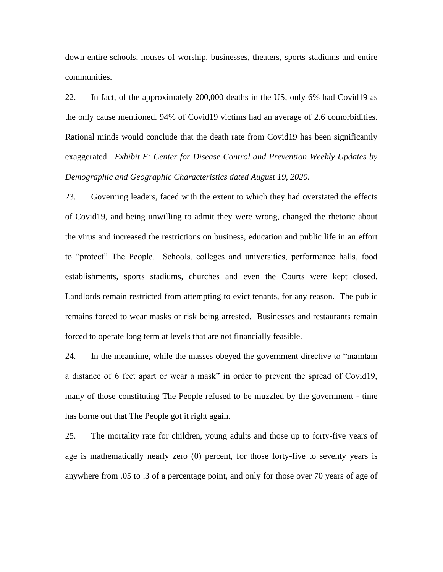down entire schools, houses of worship, businesses, theaters, sports stadiums and entire communities.

22. In fact, of the approximately 200,000 deaths in the US, only 6% had Covid19 as the only cause mentioned. 94% of Covid19 victims had an average of 2.6 comorbidities. Rational minds would conclude that the death rate from Covid19 has been significantly exaggerated. *Exhibit E: Center for Disease Control and Prevention Weekly Updates by Demographic and Geographic Characteristics dated August 19, 2020.*

23. Governing leaders, faced with the extent to which they had overstated the effects of Covid19, and being unwilling to admit they were wrong, changed the rhetoric about the virus and increased the restrictions on business, education and public life in an effort to "protect" The People. Schools, colleges and universities, performance halls, food establishments, sports stadiums, churches and even the Courts were kept closed. Landlords remain restricted from attempting to evict tenants, for any reason. The public remains forced to wear masks or risk being arrested. Businesses and restaurants remain forced to operate long term at levels that are not financially feasible.

24. In the meantime, while the masses obeyed the government directive to "maintain a distance of 6 feet apart or wear a mask" in order to prevent the spread of Covid19, many of those constituting The People refused to be muzzled by the government - time has borne out that The People got it right again.

25. The mortality rate for children, young adults and those up to forty-five years of age is mathematically nearly zero (0) percent, for those forty-five to seventy years is anywhere from .05 to .3 of a percentage point, and only for those over 70 years of age of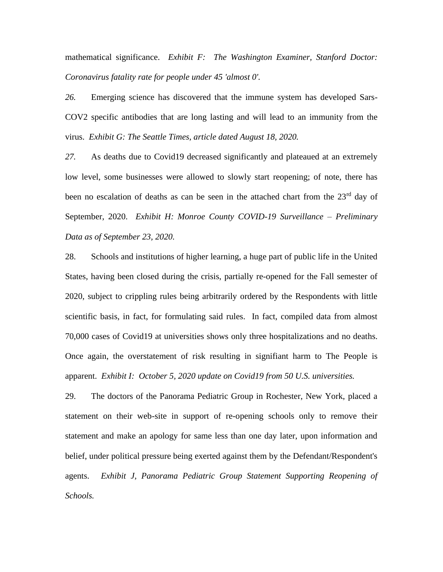mathematical significance. *Exhibit F: The Washington Examiner, Stanford Doctor: Coronavirus fatality rate for people under 45 'almost 0'.*

*26.* Emerging science has discovered that the immune system has developed Sars-COV2 specific antibodies that are long lasting and will lead to an immunity from the virus. *Exhibit G: The Seattle Times, article dated August 18, 2020.*

*27.* As deaths due to Covid19 decreased significantly and plateaued at an extremely low level, some businesses were allowed to slowly start reopening; of note, there has been no escalation of deaths as can be seen in the attached chart from the 23<sup>rd</sup> day of September, 2020. *Exhibit H: Monroe County COVID-19 Surveillance – Preliminary Data as of September 23, 2020.* 

28. Schools and institutions of higher learning, a huge part of public life in the United States, having been closed during the crisis, partially re-opened for the Fall semester of 2020, subject to crippling rules being arbitrarily ordered by the Respondents with little scientific basis, in fact, for formulating said rules. In fact, compiled data from almost 70,000 cases of Covid19 at universities shows only three hospitalizations and no deaths. Once again, the overstatement of risk resulting in signifiant harm to The People is apparent. *Exhibit I: October 5, 2020 update on Covid19 from 50 U.S. universities.*

29. The doctors of the Panorama Pediatric Group in Rochester, New York, placed a statement on their web-site in support of re-opening schools only to remove their statement and make an apology for same less than one day later, upon information and belief, under political pressure being exerted against them by the Defendant/Respondent's agents. *Exhibit J, Panorama Pediatric Group Statement Supporting Reopening of Schools.*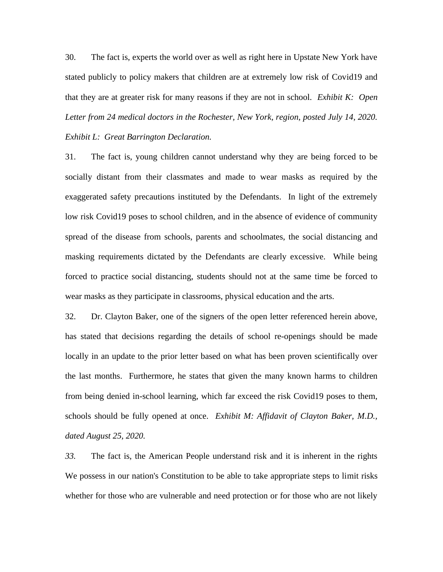30. The fact is, experts the world over as well as right here in Upstate New York have stated publicly to policy makers that children are at extremely low risk of Covid19 and that they are at greater risk for many reasons if they are not in school. *Exhibit K: Open Letter from 24 medical doctors in the Rochester, New York, region, posted July 14, 2020. Exhibit L: Great Barrington Declaration.*

31. The fact is, young children cannot understand why they are being forced to be socially distant from their classmates and made to wear masks as required by the exaggerated safety precautions instituted by the Defendants. In light of the extremely low risk Covid19 poses to school children, and in the absence of evidence of community spread of the disease from schools, parents and schoolmates, the social distancing and masking requirements dictated by the Defendants are clearly excessive. While being forced to practice social distancing, students should not at the same time be forced to wear masks as they participate in classrooms, physical education and the arts.

32. Dr. Clayton Baker, one of the signers of the open letter referenced herein above, has stated that decisions regarding the details of school re-openings should be made locally in an update to the prior letter based on what has been proven scientifically over the last months. Furthermore, he states that given the many known harms to children from being denied in-school learning, which far exceed the risk Covid19 poses to them, schools should be fully opened at once. *Exhibit M: Affidavit of Clayton Baker, M.D., dated August 25, 2020.*

*33.* The fact is, the American People understand risk and it is inherent in the rights We possess in our nation's Constitution to be able to take appropriate steps to limit risks whether for those who are vulnerable and need protection or for those who are not likely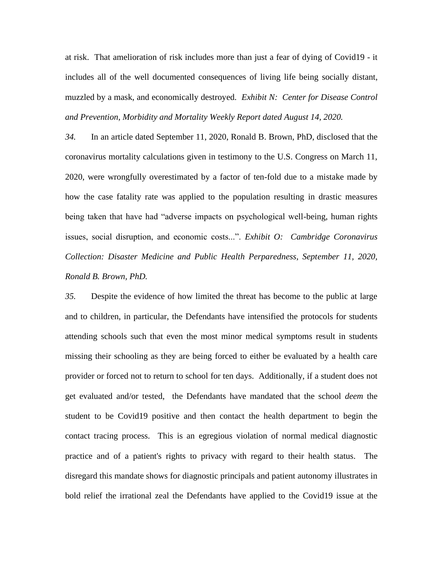at risk. That amelioration of risk includes more than just a fear of dying of Covid19 - it includes all of the well documented consequences of living life being socially distant, muzzled by a mask, and economically destroyed. *Exhibit N: Center for Disease Control and Prevention, Morbidity and Mortality Weekly Report dated August 14, 2020.*

*34.* In an article dated September 11, 2020, Ronald B. Brown, PhD, disclosed that the coronavirus mortality calculations given in testimony to the U.S. Congress on March 11, 2020, were wrongfully overestimated by a factor of ten-fold due to a mistake made by how the case fatality rate was applied to the population resulting in drastic measures being taken that have had "adverse impacts on psychological well-being, human rights issues, social disruption, and economic costs...". *Exhibit O: Cambridge Coronavirus Collection: Disaster Medicine and Public Health Perparedness, September 11, 2020, Ronald B. Brown, PhD.*

*35.* Despite the evidence of how limited the threat has become to the public at large and to children, in particular, the Defendants have intensified the protocols for students attending schools such that even the most minor medical symptoms result in students missing their schooling as they are being forced to either be evaluated by a health care provider or forced not to return to school for ten days. Additionally, if a student does not get evaluated and/or tested, the Defendants have mandated that the school *deem* the student to be Covid19 positive and then contact the health department to begin the contact tracing process. This is an egregious violation of normal medical diagnostic practice and of a patient's rights to privacy with regard to their health status. The disregard this mandate shows for diagnostic principals and patient autonomy illustrates in bold relief the irrational zeal the Defendants have applied to the Covid19 issue at the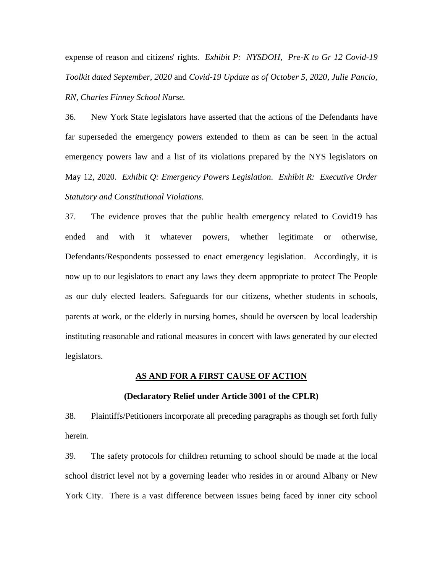expense of reason and citizens' rights. *Exhibit P: NYSDOH, Pre-K to Gr 12 Covid-19 Toolkit dated September, 2020* and *Covid-19 Update as of October 5, 2020, Julie Pancio, RN, Charles Finney School Nurse.*

36. New York State legislators have asserted that the actions of the Defendants have far superseded the emergency powers extended to them as can be seen in the actual emergency powers law and a list of its violations prepared by the NYS legislators on May 12, 2020. *Exhibit Q: Emergency Powers Legislation. Exhibit R: Executive Order Statutory and Constitutional Violations.* 

37. The evidence proves that the public health emergency related to Covid19 has ended and with it whatever powers, whether legitimate or otherwise, Defendants/Respondents possessed to enact emergency legislation. Accordingly, it is now up to our legislators to enact any laws they deem appropriate to protect The People as our duly elected leaders. Safeguards for our citizens, whether students in schools, parents at work, or the elderly in nursing homes, should be overseen by local leadership instituting reasonable and rational measures in concert with laws generated by our elected legislators.

### **AS AND FOR A FIRST CAUSE OF ACTION**

#### **(Declaratory Relief under Article 3001 of the CPLR)**

38. Plaintiffs/Petitioners incorporate all preceding paragraphs as though set forth fully herein.

39. The safety protocols for children returning to school should be made at the local school district level not by a governing leader who resides in or around Albany or New York City. There is a vast difference between issues being faced by inner city school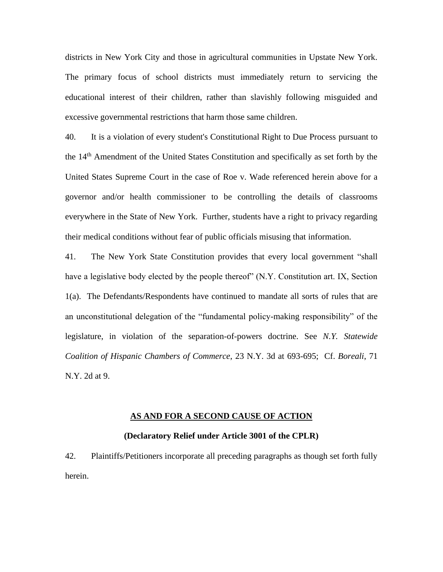districts in New York City and those in agricultural communities in Upstate New York. The primary focus of school districts must immediately return to servicing the educational interest of their children, rather than slavishly following misguided and excessive governmental restrictions that harm those same children.

40. It is a violation of every student's Constitutional Right to Due Process pursuant to the 14th Amendment of the United States Constitution and specifically as set forth by the United States Supreme Court in the case of Roe v. Wade referenced herein above for a governor and/or health commissioner to be controlling the details of classrooms everywhere in the State of New York. Further, students have a right to privacy regarding their medical conditions without fear of public officials misusing that information.

41. The New York State Constitution provides that every local government "shall have a legislative body elected by the people thereof" (N.Y. Constitution art. IX, Section 1(a). The Defendants/Respondents have continued to mandate all sorts of rules that are an unconstitutional delegation of the "fundamental policy-making responsibility" of the legislature, in violation of the separation-of-powers doctrine. See *N.Y. Statewide Coalition of Hispanic Chambers of Commerce*, 23 N.Y. 3d at 693-695; Cf. *Boreali*, 71 N.Y. 2d at 9.

#### **AS AND FOR A SECOND CAUSE OF ACTION**

#### **(Declaratory Relief under Article 3001 of the CPLR)**

42. Plaintiffs/Petitioners incorporate all preceding paragraphs as though set forth fully herein.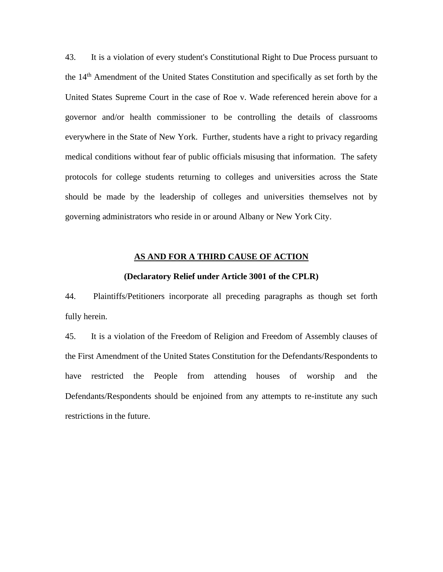43. It is a violation of every student's Constitutional Right to Due Process pursuant to the 14th Amendment of the United States Constitution and specifically as set forth by the United States Supreme Court in the case of Roe v. Wade referenced herein above for a governor and/or health commissioner to be controlling the details of classrooms everywhere in the State of New York. Further, students have a right to privacy regarding medical conditions without fear of public officials misusing that information. The safety protocols for college students returning to colleges and universities across the State should be made by the leadership of colleges and universities themselves not by governing administrators who reside in or around Albany or New York City.

### **AS AND FOR A THIRD CAUSE OF ACTION**

### **(Declaratory Relief under Article 3001 of the CPLR)**

44. Plaintiffs/Petitioners incorporate all preceding paragraphs as though set forth fully herein.

45. It is a violation of the Freedom of Religion and Freedom of Assembly clauses of the First Amendment of the United States Constitution for the Defendants/Respondents to have restricted the People from attending houses of worship and the Defendants/Respondents should be enjoined from any attempts to re-institute any such restrictions in the future.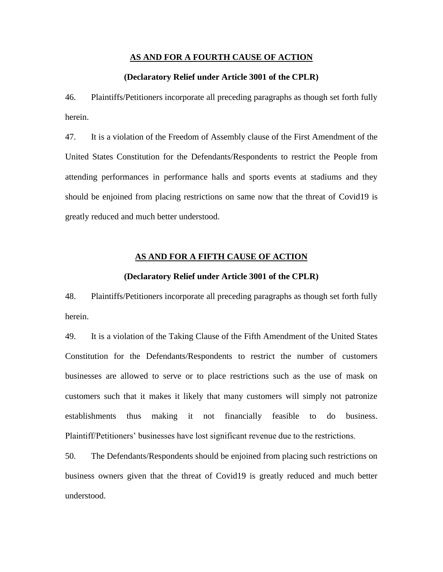### **AS AND FOR A FOURTH CAUSE OF ACTION**

### **(Declaratory Relief under Article 3001 of the CPLR)**

46. Plaintiffs/Petitioners incorporate all preceding paragraphs as though set forth fully herein.

47. It is a violation of the Freedom of Assembly clause of the First Amendment of the United States Constitution for the Defendants/Respondents to restrict the People from attending performances in performance halls and sports events at stadiums and they should be enjoined from placing restrictions on same now that the threat of Covid19 is greatly reduced and much better understood.

### **AS AND FOR A FIFTH CAUSE OF ACTION**

#### **(Declaratory Relief under Article 3001 of the CPLR)**

48. Plaintiffs/Petitioners incorporate all preceding paragraphs as though set forth fully herein.

49. It is a violation of the Taking Clause of the Fifth Amendment of the United States Constitution for the Defendants/Respondents to restrict the number of customers businesses are allowed to serve or to place restrictions such as the use of mask on customers such that it makes it likely that many customers will simply not patronize establishments thus making it not financially feasible to do business. Plaintiff/Petitioners' businesses have lost significant revenue due to the restrictions.

50. The Defendants/Respondents should be enjoined from placing such restrictions on business owners given that the threat of Covid19 is greatly reduced and much better understood.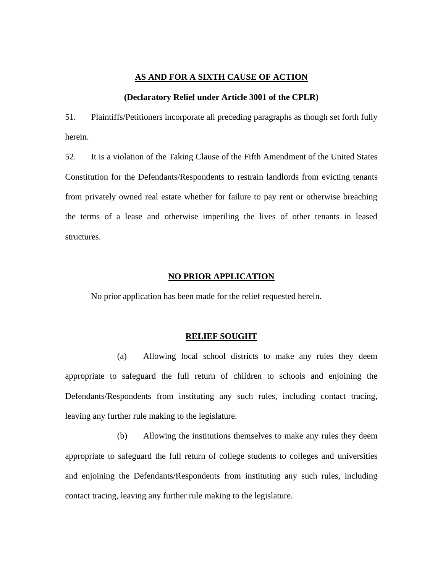### **AS AND FOR A SIXTH CAUSE OF ACTION**

### **(Declaratory Relief under Article 3001 of the CPLR)**

51. Plaintiffs/Petitioners incorporate all preceding paragraphs as though set forth fully herein.

52. It is a violation of the Taking Clause of the Fifth Amendment of the United States Constitution for the Defendants/Respondents to restrain landlords from evicting tenants from privately owned real estate whether for failure to pay rent or otherwise breaching the terms of a lease and otherwise imperiling the lives of other tenants in leased structures.

### **NO PRIOR APPLICATION**

No prior application has been made for the relief requested herein.

#### **RELIEF SOUGHT**

(a) Allowing local school districts to make any rules they deem appropriate to safeguard the full return of children to schools and enjoining the Defendants/Respondents from instituting any such rules, including contact tracing, leaving any further rule making to the legislature.

(b) Allowing the institutions themselves to make any rules they deem appropriate to safeguard the full return of college students to colleges and universities and enjoining the Defendants/Respondents from instituting any such rules, including contact tracing, leaving any further rule making to the legislature.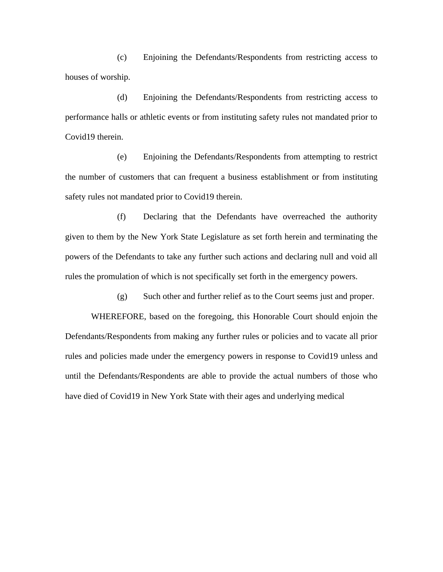(c) Enjoining the Defendants/Respondents from restricting access to houses of worship.

(d) Enjoining the Defendants/Respondents from restricting access to performance halls or athletic events or from instituting safety rules not mandated prior to Covid19 therein.

(e) Enjoining the Defendants/Respondents from attempting to restrict the number of customers that can frequent a business establishment or from instituting safety rules not mandated prior to Covid19 therein.

(f) Declaring that the Defendants have overreached the authority given to them by the New York State Legislature as set forth herein and terminating the powers of the Defendants to take any further such actions and declaring null and void all rules the promulation of which is not specifically set forth in the emergency powers.

(g) Such other and further relief as to the Court seems just and proper.

WHEREFORE, based on the foregoing, this Honorable Court should enjoin the Defendants/Respondents from making any further rules or policies and to vacate all prior rules and policies made under the emergency powers in response to Covid19 unless and until the Defendants/Respondents are able to provide the actual numbers of those who have died of Covid19 in New York State with their ages and underlying medical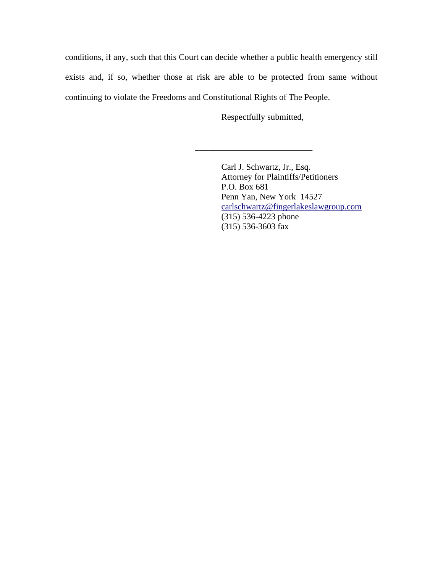conditions, if any, such that this Court can decide whether a public health emergency still exists and, if so, whether those at risk are able to be protected from same without continuing to violate the Freedoms and Constitutional Rights of The People.

Respectfully submitted,

\_\_\_\_\_\_\_\_\_\_\_\_\_\_\_\_\_\_\_\_\_\_\_\_\_\_\_

Carl J. Schwartz, Jr., Esq. Attorney for Plaintiffs/Petitioners P.O. Box 681 Penn Yan, New York 14527 [carlschwartz@fingerlakeslawgroup.com](mailto:carlschwartz@fingerlakeslawgroup.com) (315) 536-4223 phone (315) 536-3603 fax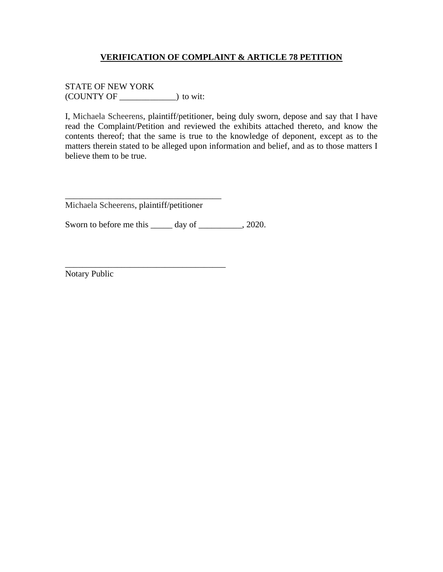STATE OF NEW YORK (COUNTY OF \_\_\_\_\_\_\_\_\_\_\_\_\_) to wit:

I, Michaela Scheerens, plaintiff/petitioner, being duly sworn, depose and say that I have read the Complaint/Petition and reviewed the exhibits attached thereto, and know the contents thereof; that the same is true to the knowledge of deponent, except as to the matters therein stated to be alleged upon information and belief, and as to those matters I believe them to be true.

Michaela Scheerens, plaintiff/petitioner

\_\_\_\_\_\_\_\_\_\_\_\_\_\_\_\_\_\_\_\_\_\_\_\_\_\_\_\_\_\_\_\_\_\_\_\_

\_\_\_\_\_\_\_\_\_\_\_\_\_\_\_\_\_\_\_\_\_\_\_\_\_\_\_\_\_\_\_\_\_\_\_\_\_

Sworn to before me this \_\_\_\_\_\_ day of \_\_\_\_\_\_\_\_\_, 2020.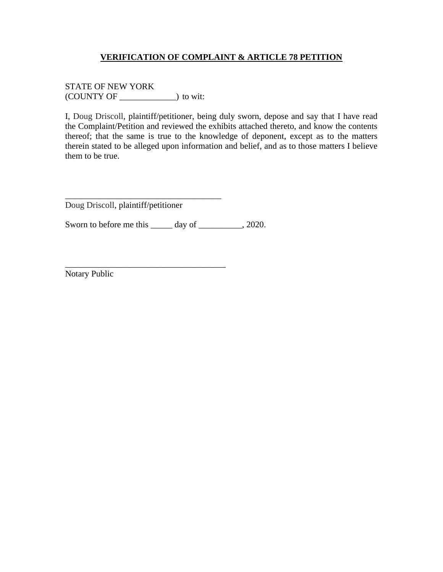STATE OF NEW YORK (COUNTY OF \_\_\_\_\_\_\_\_\_\_\_\_\_) to wit:

I, Doug Driscoll, plaintiff/petitioner, being duly sworn, depose and say that I have read the Complaint/Petition and reviewed the exhibits attached thereto, and know the contents thereof; that the same is true to the knowledge of deponent, except as to the matters therein stated to be alleged upon information and belief, and as to those matters I believe them to be true.

Doug Driscoll, plaintiff/petitioner

\_\_\_\_\_\_\_\_\_\_\_\_\_\_\_\_\_\_\_\_\_\_\_\_\_\_\_\_\_\_\_\_\_\_\_\_

\_\_\_\_\_\_\_\_\_\_\_\_\_\_\_\_\_\_\_\_\_\_\_\_\_\_\_\_\_\_\_\_\_\_\_\_\_

Sworn to before me this \_\_\_\_\_\_ day of \_\_\_\_\_\_\_\_\_, 2020.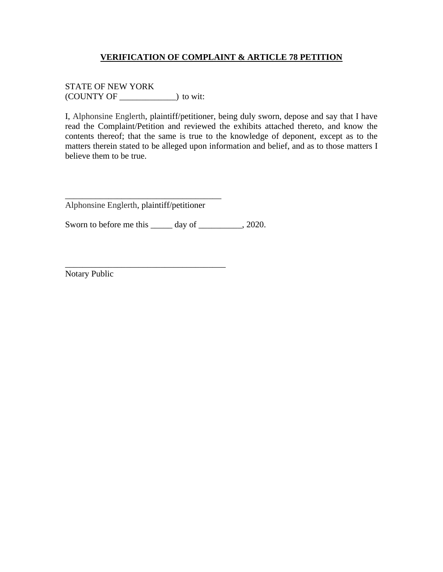STATE OF NEW YORK (COUNTY OF \_\_\_\_\_\_\_\_\_\_\_\_\_) to wit:

I, Alphonsine Englerth, plaintiff/petitioner, being duly sworn, depose and say that I have read the Complaint/Petition and reviewed the exhibits attached thereto, and know the contents thereof; that the same is true to the knowledge of deponent, except as to the matters therein stated to be alleged upon information and belief, and as to those matters I believe them to be true.

Alphonsine Englerth, plaintiff/petitioner

\_\_\_\_\_\_\_\_\_\_\_\_\_\_\_\_\_\_\_\_\_\_\_\_\_\_\_\_\_\_\_\_\_\_\_\_

\_\_\_\_\_\_\_\_\_\_\_\_\_\_\_\_\_\_\_\_\_\_\_\_\_\_\_\_\_\_\_\_\_\_\_\_\_

Sworn to before me this \_\_\_\_\_\_ day of \_\_\_\_\_\_\_\_\_, 2020.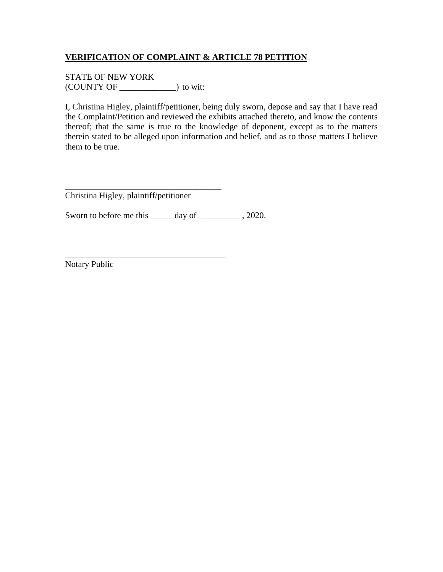STATE OF NEW YORK (COUNTY OF \_\_\_\_\_\_\_\_\_\_\_\_\_) to wit:

I, Christina Higley, plaintiff/petitioner, being duly sworn, depose and say that I have read the Complaint/Petition and reviewed the exhibits attached thereto, and know the contents thereof; that the same is true to the knowledge of deponent, except as to the matters therein stated to be alleged upon information and belief, and as to those matters I believe them to be true.

\_\_\_\_\_\_\_\_\_\_\_\_\_\_\_\_\_\_\_\_\_\_\_\_\_\_\_\_\_\_\_\_\_\_\_\_ Christina Higley, plaintiff/petitioner

\_\_\_\_\_\_\_\_\_\_\_\_\_\_\_\_\_\_\_\_\_\_\_\_\_\_\_\_\_\_\_\_\_\_\_\_\_

Sworn to before me this \_\_\_\_\_ day of \_\_\_\_\_\_\_\_, 2020.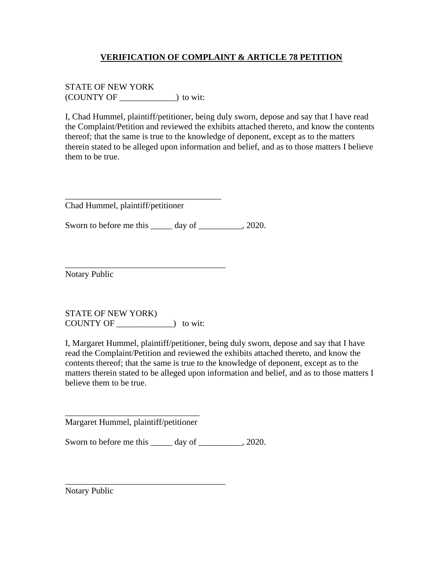STATE OF NEW YORK (COUNTY OF \_\_\_\_\_\_\_\_\_\_\_\_\_) to wit:

I, Chad Hummel, plaintiff/petitioner, being duly sworn, depose and say that I have read the Complaint/Petition and reviewed the exhibits attached thereto, and know the contents thereof; that the same is true to the knowledge of deponent, except as to the matters therein stated to be alleged upon information and belief, and as to those matters I believe them to be true.

Chad Hummel, plaintiff/petitioner

\_\_\_\_\_\_\_\_\_\_\_\_\_\_\_\_\_\_\_\_\_\_\_\_\_\_\_\_\_\_\_\_\_\_\_\_

\_\_\_\_\_\_\_\_\_\_\_\_\_\_\_\_\_\_\_\_\_\_\_\_\_\_\_\_\_\_\_\_\_\_\_\_\_

Sworn to before me this \_\_\_\_\_\_ day of \_\_\_\_\_\_\_\_\_, 2020.

Notary Public

STATE OF NEW YORK) COUNTY OF \_\_\_\_\_\_\_\_\_\_\_\_\_) to wit:

I, Margaret Hummel, plaintiff/petitioner, being duly sworn, depose and say that I have read the Complaint/Petition and reviewed the exhibits attached thereto, and know the contents thereof; that the same is true to the knowledge of deponent, except as to the matters therein stated to be alleged upon information and belief, and as to those matters I believe them to be true.

\_\_\_\_\_\_\_\_\_\_\_\_\_\_\_\_\_\_\_\_\_\_\_\_\_\_\_\_\_\_\_ Margaret Hummel, plaintiff/petitioner

\_\_\_\_\_\_\_\_\_\_\_\_\_\_\_\_\_\_\_\_\_\_\_\_\_\_\_\_\_\_\_\_\_\_\_\_\_

Sworn to before me this \_\_\_\_\_ day of \_\_\_\_\_\_\_\_, 2020.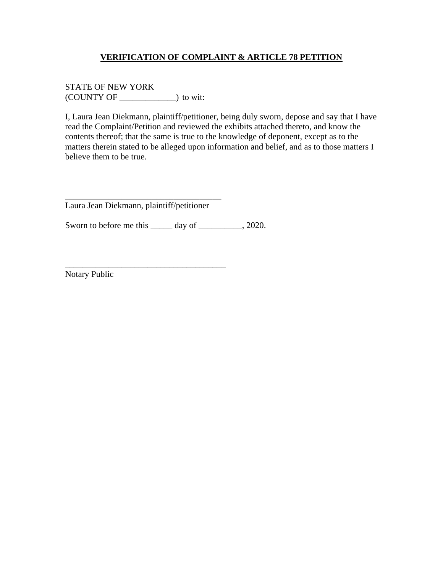STATE OF NEW YORK (COUNTY OF \_\_\_\_\_\_\_\_\_\_\_\_\_) to wit:

I, Laura Jean Diekmann, plaintiff/petitioner, being duly sworn, depose and say that I have read the Complaint/Petition and reviewed the exhibits attached thereto, and know the contents thereof; that the same is true to the knowledge of deponent, except as to the matters therein stated to be alleged upon information and belief, and as to those matters I believe them to be true.

\_\_\_\_\_\_\_\_\_\_\_\_\_\_\_\_\_\_\_\_\_\_\_\_\_\_\_\_\_\_\_\_\_\_\_\_ Laura Jean Diekmann, plaintiff/petitioner

\_\_\_\_\_\_\_\_\_\_\_\_\_\_\_\_\_\_\_\_\_\_\_\_\_\_\_\_\_\_\_\_\_\_\_\_\_

Sworn to before me this \_\_\_\_\_\_ day of \_\_\_\_\_\_\_\_\_, 2020.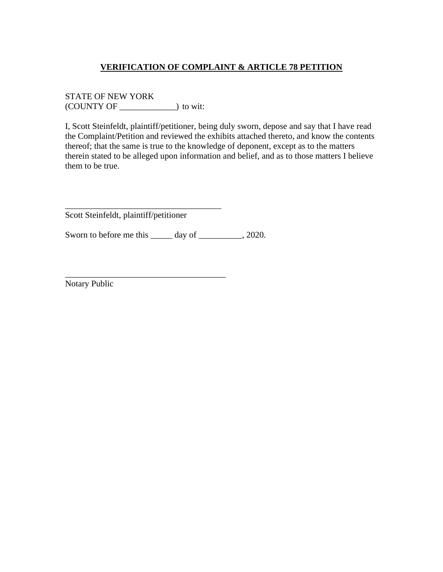STATE OF NEW YORK (COUNTY OF \_\_\_\_\_\_\_\_\_\_\_\_\_) to wit:

I, Scott Steinfeldt, plaintiff/petitioner, being duly sworn, depose and say that I have read the Complaint/Petition and reviewed the exhibits attached thereto, and know the contents thereof; that the same is true to the knowledge of deponent, except as to the matters therein stated to be alleged upon information and belief, and as to those matters I believe them to be true.

Scott Steinfeldt, plaintiff/petitioner

\_\_\_\_\_\_\_\_\_\_\_\_\_\_\_\_\_\_\_\_\_\_\_\_\_\_\_\_\_\_\_\_\_\_\_\_

\_\_\_\_\_\_\_\_\_\_\_\_\_\_\_\_\_\_\_\_\_\_\_\_\_\_\_\_\_\_\_\_\_\_\_\_\_

Sworn to before me this \_\_\_\_\_ day of \_\_\_\_\_\_\_\_\_, 2020.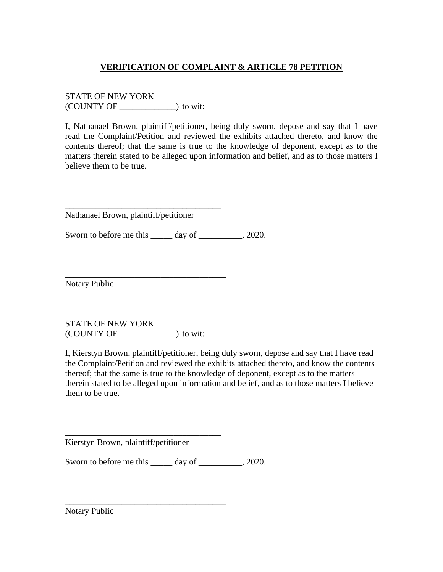STATE OF NEW YORK (COUNTY OF \_\_\_\_\_\_\_\_\_\_\_\_\_) to wit:

I, Nathanael Brown, plaintiff/petitioner, being duly sworn, depose and say that I have read the Complaint/Petition and reviewed the exhibits attached thereto, and know the contents thereof; that the same is true to the knowledge of deponent, except as to the matters therein stated to be alleged upon information and belief, and as to those matters I believe them to be true.

Nathanael Brown, plaintiff/petitioner

\_\_\_\_\_\_\_\_\_\_\_\_\_\_\_\_\_\_\_\_\_\_\_\_\_\_\_\_\_\_\_\_\_\_\_\_

\_\_\_\_\_\_\_\_\_\_\_\_\_\_\_\_\_\_\_\_\_\_\_\_\_\_\_\_\_\_\_\_\_\_\_\_\_

Sworn to before me this \_\_\_\_\_\_ day of \_\_\_\_\_\_\_\_\_, 2020.

Notary Public

STATE OF NEW YORK (COUNTY OF \_\_\_\_\_\_\_\_\_\_\_\_\_) to wit:

I, Kierstyn Brown, plaintiff/petitioner, being duly sworn, depose and say that I have read the Complaint/Petition and reviewed the exhibits attached thereto, and know the contents thereof; that the same is true to the knowledge of deponent, except as to the matters therein stated to be alleged upon information and belief, and as to those matters I believe them to be true.

Kierstyn Brown, plaintiff/petitioner

\_\_\_\_\_\_\_\_\_\_\_\_\_\_\_\_\_\_\_\_\_\_\_\_\_\_\_\_\_\_\_\_\_\_\_\_

\_\_\_\_\_\_\_\_\_\_\_\_\_\_\_\_\_\_\_\_\_\_\_\_\_\_\_\_\_\_\_\_\_\_\_\_\_

Sworn to before me this \_\_\_\_\_ day of \_\_\_\_\_\_\_\_\_, 2020.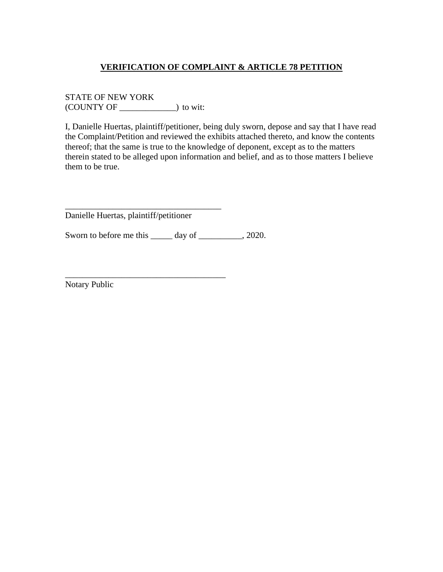STATE OF NEW YORK (COUNTY OF \_\_\_\_\_\_\_\_\_\_\_\_\_) to wit:

I, Danielle Huertas, plaintiff/petitioner, being duly sworn, depose and say that I have read the Complaint/Petition and reviewed the exhibits attached thereto, and know the contents thereof; that the same is true to the knowledge of deponent, except as to the matters therein stated to be alleged upon information and belief, and as to those matters I believe them to be true.

Danielle Huertas, plaintiff/petitioner

\_\_\_\_\_\_\_\_\_\_\_\_\_\_\_\_\_\_\_\_\_\_\_\_\_\_\_\_\_\_\_\_\_\_\_\_

\_\_\_\_\_\_\_\_\_\_\_\_\_\_\_\_\_\_\_\_\_\_\_\_\_\_\_\_\_\_\_\_\_\_\_\_\_

Sworn to before me this \_\_\_\_\_ day of \_\_\_\_\_\_\_\_, 2020.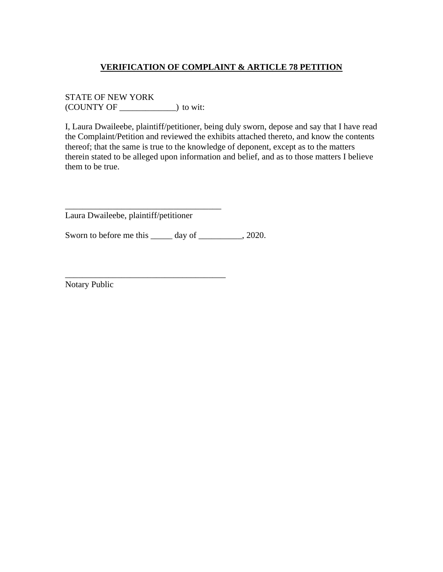STATE OF NEW YORK (COUNTY OF \_\_\_\_\_\_\_\_\_\_\_\_\_) to wit:

I, Laura Dwaileebe, plaintiff/petitioner, being duly sworn, depose and say that I have read the Complaint/Petition and reviewed the exhibits attached thereto, and know the contents thereof; that the same is true to the knowledge of deponent, except as to the matters therein stated to be alleged upon information and belief, and as to those matters I believe them to be true.

Laura Dwaileebe, plaintiff/petitioner

\_\_\_\_\_\_\_\_\_\_\_\_\_\_\_\_\_\_\_\_\_\_\_\_\_\_\_\_\_\_\_\_\_\_\_\_

\_\_\_\_\_\_\_\_\_\_\_\_\_\_\_\_\_\_\_\_\_\_\_\_\_\_\_\_\_\_\_\_\_\_\_\_\_

Sworn to before me this \_\_\_\_\_ day of \_\_\_\_\_\_\_\_, 2020.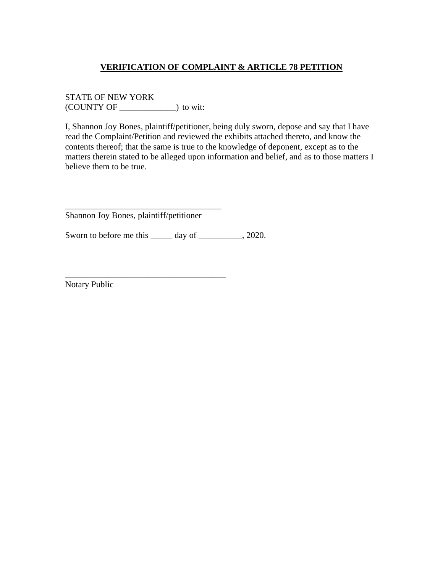STATE OF NEW YORK (COUNTY OF \_\_\_\_\_\_\_\_\_\_\_\_\_) to wit:

I, Shannon Joy Bones, plaintiff/petitioner, being duly sworn, depose and say that I have read the Complaint/Petition and reviewed the exhibits attached thereto, and know the contents thereof; that the same is true to the knowledge of deponent, except as to the matters therein stated to be alleged upon information and belief, and as to those matters I believe them to be true.

Shannon Joy Bones, plaintiff/petitioner

\_\_\_\_\_\_\_\_\_\_\_\_\_\_\_\_\_\_\_\_\_\_\_\_\_\_\_\_\_\_\_\_\_\_\_\_

\_\_\_\_\_\_\_\_\_\_\_\_\_\_\_\_\_\_\_\_\_\_\_\_\_\_\_\_\_\_\_\_\_\_\_\_\_

Sworn to before me this \_\_\_\_\_ day of \_\_\_\_\_\_\_\_, 2020.